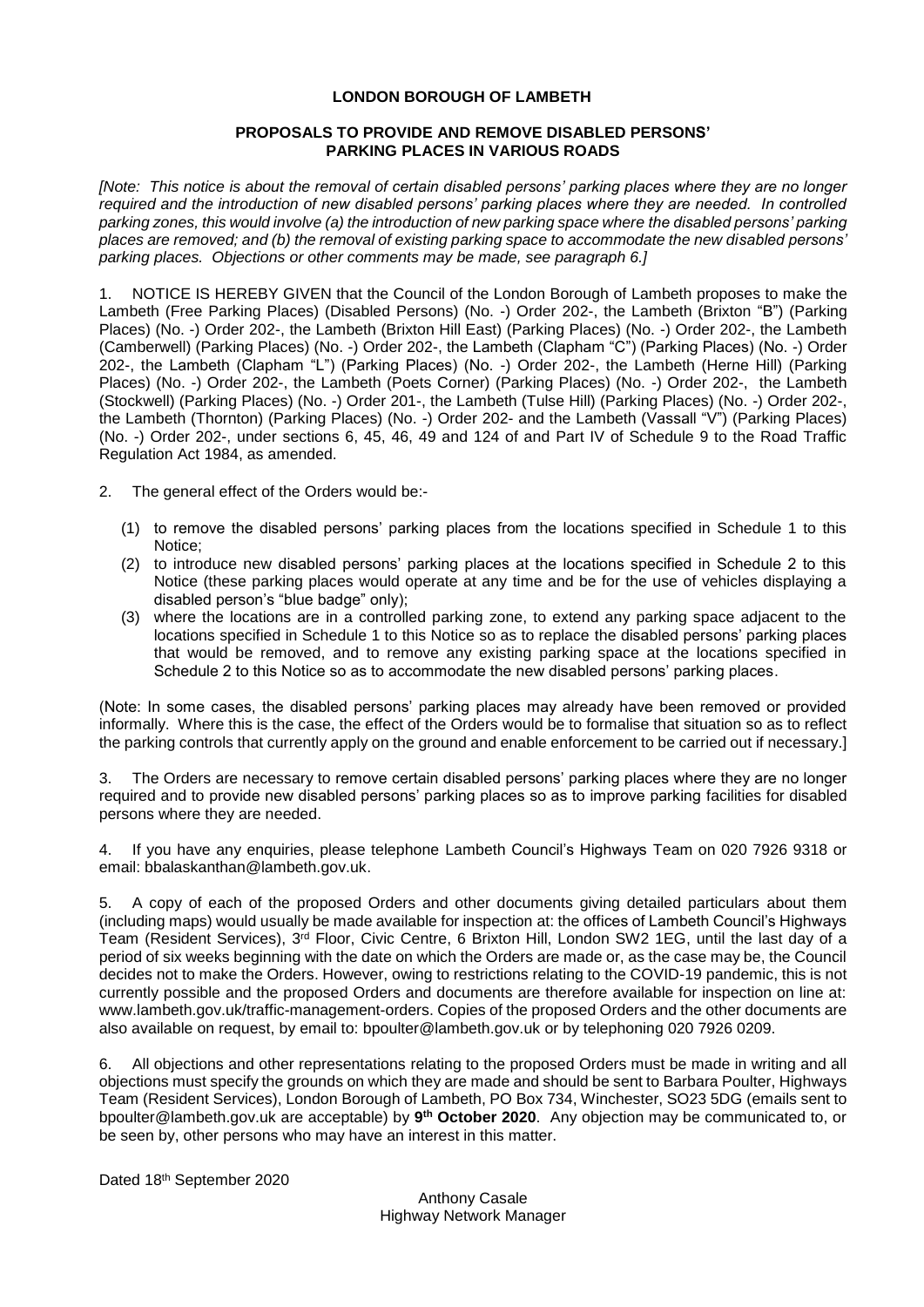# **LONDON BOROUGH OF LAMBETH**

## **PROPOSALS TO PROVIDE AND REMOVE DISABLED PERSONS' PARKING PLACES IN VARIOUS ROADS**

*[Note: This notice is about the removal of certain disabled persons' parking places where they are no longer required and the introduction of new disabled persons' parking places where they are needed. In controlled parking zones, this would involve (a) the introduction of new parking space where the disabled persons' parking places are removed; and (b) the removal of existing parking space to accommodate the new disabled persons' parking places. Objections or other comments may be made, see paragraph 6.]*

1. NOTICE IS HEREBY GIVEN that the Council of the London Borough of Lambeth proposes to make the Lambeth (Free Parking Places) (Disabled Persons) (No. -) Order 202-, the Lambeth (Brixton "B") (Parking Places) (No. -) Order 202-, the Lambeth (Brixton Hill East) (Parking Places) (No. -) Order 202-, the Lambeth (Camberwell) (Parking Places) (No. -) Order 202-, the Lambeth (Clapham "C") (Parking Places) (No. -) Order 202-, the Lambeth (Clapham "L") (Parking Places) (No. -) Order 202-, the Lambeth (Herne Hill) (Parking Places) (No. -) Order 202-, the Lambeth (Poets Corner) (Parking Places) (No. -) Order 202-, the Lambeth (Stockwell) (Parking Places) (No. -) Order 201-, the Lambeth (Tulse Hill) (Parking Places) (No. -) Order 202-, the Lambeth (Thornton) (Parking Places) (No. -) Order 202- and the Lambeth (Vassall "V") (Parking Places) (No. -) Order 202-, under sections 6, 45, 46, 49 and 124 of and Part IV of Schedule 9 to the Road Traffic Regulation Act 1984, as amended.

2. The general effect of the Orders would be:-

- (1) to remove the disabled persons' parking places from the locations specified in Schedule 1 to this Notice;
- (2) to introduce new disabled persons' parking places at the locations specified in Schedule 2 to this Notice (these parking places would operate at any time and be for the use of vehicles displaying a disabled person's "blue badge" only);
- (3) where the locations are in a controlled parking zone, to extend any parking space adjacent to the locations specified in Schedule 1 to this Notice so as to replace the disabled persons' parking places that would be removed, and to remove any existing parking space at the locations specified in Schedule 2 to this Notice so as to accommodate the new disabled persons' parking places.

(Note: In some cases, the disabled persons' parking places may already have been removed or provided informally. Where this is the case, the effect of the Orders would be to formalise that situation so as to reflect the parking controls that currently apply on the ground and enable enforcement to be carried out if necessary.]

3. The Orders are necessary to remove certain disabled persons' parking places where they are no longer required and to provide new disabled persons' parking places so as to improve parking facilities for disabled persons where they are needed.

4. If you have any enquiries, please telephone Lambeth Council's Highways Team on 020 7926 9318 or email: [bbalaskanthan@lambeth.gov.uk.](mailto:bbalaskanthan@lambeth.gov.uk)

5. A copy of each of the proposed Orders and other documents giving detailed particulars about them (including maps) would usually be made available for inspection at: the offices of Lambeth Council's Highways Team (Resident Services), 3<sup>rd</sup> Floor, Civic Centre, 6 Brixton Hill, London SW2 1EG, until the last day of a period of six weeks beginning with the date on which the Orders are made or, as the case may be, the Council decides not to make the Orders. However, owing to restrictions relating to the COVID-19 pandemic, this is not currently possible and the proposed Orders and documents are therefore available for inspection on line at: [www.lambeth.gov.uk/traffic-management-orders.](https://eur01.safelinks.protection.outlook.com/?url=http%3A%2F%2Fwww.lambeth.gov.uk%2Ftraffic-management-orders&data=02%7C01%7CHazel.Game%40projectcentre.co.uk%7Cdb2cc4466d98464379e108d8228a177f%7C3734172ae82a4ac7a3d302949970d5e6%7C0%7C0%7C637297323791658621&sdata=%2F9T0mTHJshTJ2XJRn1W8ejKPOCPyu4ImJy8Y%2BVrLotM%3D&reserved=0) Copies of the proposed Orders and the other documents are also available on request, by email to: [bpoulter@lambeth.gov.uk](mailto:bpoulter@lambeth.gov.uk) or by telephoning 020 7926 0209.

6. All objections and other representations relating to the proposed Orders must be made in writing and all objections must specify the grounds on which they are made and should be sent to Barbara Poulter, Highways Team (Resident Services), London Borough of Lambeth, PO Box 734, Winchester, SO23 5DG (emails sent to [bpoulter@lambeth.gov.uk](mailto:bpoulter@lambeth.gov.uk) are acceptable) by **9 th October 2020**. Any objection may be communicated to, or be seen by, other persons who may have an interest in this matter.